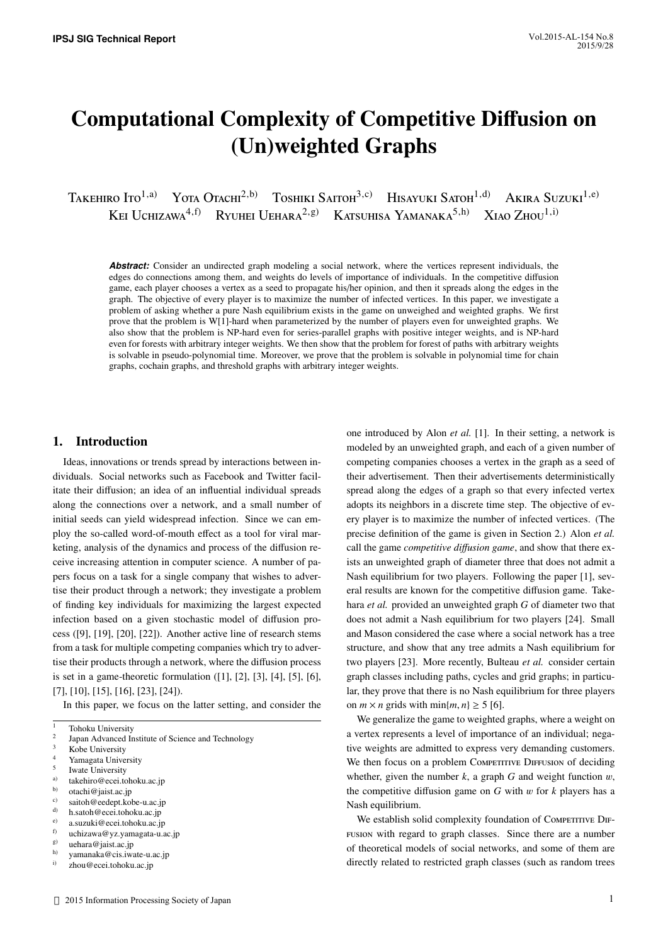# Computational Complexity of Competitive Diffusion on (Un)weighted Graphs

Takehiro Ito<sup>1,a)</sup> Yota Otachi<sup>2,b)</sup> Toshiki Saitoh<sup>3,c)</sup> Hisayuki Satoh<sup>1,d)</sup> Akira Suzuki<sup>1,e)</sup> KEI UCHIZAWA<sup>4,f)</sup> RYUHEI UEHARA<sup>2,g)</sup> KATSUHISA YAMANAKA<sup>5,h)</sup> XIAO ZHOU<sup>1,i)</sup>

Abstract: Consider an undirected graph modeling a social network, where the vertices represent individuals, the edges do connections among them, and weights do levels of importance of individuals. In the competitive diffusion game, each player chooses a vertex as a seed to propagate his/her opinion, and then it spreads along the edges in the graph. The objective of every player is to maximize the number of infected vertices. In this paper, we investigate a problem of asking whether a pure Nash equilibrium exists in the game on unweighed and weighted graphs. We first prove that the problem is W[1]-hard when parameterized by the number of players even for unweighted graphs. We also show that the problem is NP-hard even for series-parallel graphs with positive integer weights, and is NP-hard even for forests with arbitrary integer weights. We then show that the problem for forest of paths with arbitrary weights is solvable in pseudo-polynomial time. Moreover, we prove that the problem is solvable in polynomial time for chain graphs, cochain graphs, and threshold graphs with arbitrary integer weights.

## 1. Introduction

Ideas, innovations or trends spread by interactions between individuals. Social networks such as Facebook and Twitter facilitate their diffusion; an idea of an influential individual spreads along the connections over a network, and a small number of initial seeds can yield widespread infection. Since we can employ the so-called word-of-mouth effect as a tool for viral marketing, analysis of the dynamics and process of the diffusion receive increasing attention in computer science. A number of papers focus on a task for a single company that wishes to advertise their product through a network; they investigate a problem of finding key individuals for maximizing the largest expected infection based on a given stochastic model of diffusion process ([9], [19], [20], [22]). Another active line of research stems from a task for multiple competing companies which try to advertise their products through a network, where the diffusion process is set in a game-theoretic formulation ([1], [2], [3], [4], [5], [6], [7], [10], [15], [16], [23], [24]).

In this paper, we focus on the latter setting, and consider the

- Yamagata University
- 5 Iwate University
- <sup>a)</sup> takehiro@ecei.tohoku.ac.jp<br>b) otoobi@ioist.eq.ip
- $\begin{bmatrix} 1 & b \\ c & c \end{bmatrix}$  otachi@jaist.ac.jp
- c) saitoh@eedept.kobe-u.ac.jp
- d) h.satoh@ecei.tohoku.ac.jp
- e) a.suzuki@ecei.tohoku.ac.jp
- f) uchizawa@yz.yamagata-u.ac.jp<br>g) uehara@iaist ac in
- $g$ ) uehara@jaist.ac.jp<br>h) unnearly@eis.jp
- h) yamanaka@cis.iwate-u.ac.jp<br>i) zbou@eeei.tobelevee.in

modeled by an unweighted graph, and each of a given number of competing companies chooses a vertex in the graph as a seed of their advertisement. Then their advertisements deterministically spread along the edges of a graph so that every infected vertex adopts its neighbors in a discrete time step. The objective of every player is to maximize the number of infected vertices. (The precise definition of the game is given in Section 2.) Alon *et al.* call the game *competitive di*ff*usion game*, and show that there exists an unweighted graph of diameter three that does not admit a Nash equilibrium for two players. Following the paper [1], several results are known for the competitive diffusion game. Takehara *et al.* provided an unweighted graph *G* of diameter two that does not admit a Nash equilibrium for two players [24]. Small and Mason considered the case where a social network has a tree structure, and show that any tree admits a Nash equilibrium for two players [23]. More recently, Bulteau *et al.* consider certain graph classes including paths, cycles and grid graphs; in particular, they prove that there is no Nash equilibrium for three players on  $m \times n$  grids with  $\min\{m, n\} \geq 5$  [6].

one introduced by Alon *et al.* [1]. In their setting, a network is

We generalize the game to weighted graphs, where a weight on a vertex represents a level of importance of an individual; negative weights are admitted to express very demanding customers. We then focus on a problem Competitive Diffusion of deciding whether, given the number  $k$ , a graph  $G$  and weight function  $w$ , the competitive diffusion game on  $G$  with  $w$  for  $k$  players has a Nash equilibrium.

We establish solid complexity foundation of Competitive Diffusion with regard to graph classes. Since there are a number of theoretical models of social networks, and some of them are directly related to restricted graph classes (such as random trees

<sup>&</sup>lt;sup>1</sup> Tohoku University

<sup>2</sup> Japan Advanced Institute of Science and Technology

 $3$  Kobe University

zhou@ecei.tohoku.ac.jp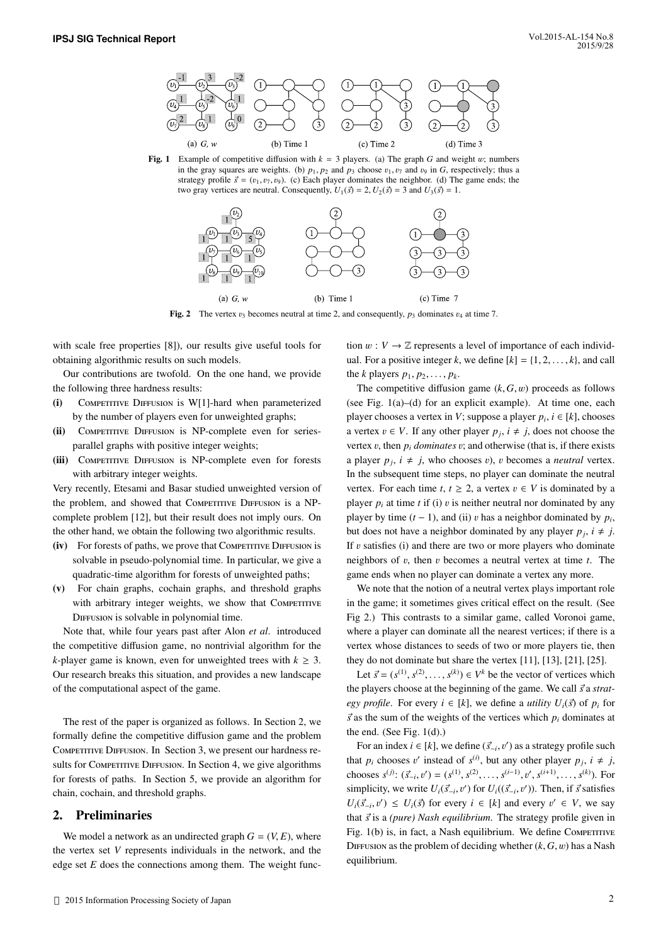

Fig. 1 Example of competitive diffusion with  $k = 3$  players. (a) The graph *G* and weight w; numbers in the gray squares are weights. (b)  $p_1$ ,  $p_2$  and  $p_3$  choose  $v_1$ ,  $v_7$  and  $v_9$  in *G*, respectively; thus a strategy profile  $\vec{s} = (v_1, v_7, v_9)$ . (c) Each player dominates the neighbor. (d) The game ends; the two gray vertices are neutral. Consequently,  $U_1(\vec{s}) = 2$ ,  $U_2(\vec{s}) = 3$  and  $U_3(\vec{s}) = 1$ .



Fig. 2 The vertex  $v_3$  becomes neutral at time 2, and consequently,  $p_3$  dominates  $v_4$  at time 7.

with scale free properties [8]), our results give useful tools for obtaining algorithmic results on such models.

Our contributions are twofold. On the one hand, we provide the following three hardness results:

- $(i)$  Competitive Diffusion is W[1]-hard when parameterized by the number of players even for unweighted graphs;
- (ii) COMPETITIVE DIFFUSION is NP-complete even for seriesparallel graphs with positive integer weights;
- (iii) COMPETITIVE DIFFUSION is NP-complete even for forests with arbitrary integer weights.

Very recently, Etesami and Basar studied unweighted version of the problem, and showed that Competitive Diffusion is a NPcomplete problem [12], but their result does not imply ours. On the other hand, we obtain the following two algorithmic results.

- (iv) For forests of paths, we prove that Competitive Diffusion is solvable in pseudo-polynomial time. In particular, we give a quadratic-time algorithm for forests of unweighted paths;
- (v) For chain graphs, cochain graphs, and threshold graphs with arbitrary integer weights, we show that COMPETITIVE DIFFUSION is solvable in polynomial time.

Note that, while four years past after Alon *et al*. introduced the competitive diffusion game, no nontrivial algorithm for the *k*-player game is known, even for unweighted trees with  $k > 3$ . Our research breaks this situation, and provides a new landscape of the computational aspect of the game.

The rest of the paper is organized as follows. In Section 2, we formally define the competitive diffusion game and the problem COMPETITIVE DIFFUSION. In Section 3, we present our hardness results for Competitive Diffusion. In Section 4, we give algorithms for forests of paths. In Section 5, we provide an algorithm for chain, cochain, and threshold graphs.

## 2. Preliminaries

We model a network as an undirected graph  $G = (V, E)$ , where the vertex set *V* represents individuals in the network, and the edge set *E* does the connections among them. The weight function  $w : V \to \mathbb{Z}$  represents a level of importance of each individual. For a positive integer *k*, we define  $[k] = \{1, 2, \ldots, k\}$ , and call the *k* players  $p_1, p_2, \ldots, p_k$ .

The competitive diffusion game  $(k, G, w)$  proceeds as follows (see Fig. 1(a)–(d) for an explicit example). At time one, each player chooses a vertex in *V*; suppose a player  $p_i$ ,  $i \in [k]$ , chooses a vertex  $v \in V$ . If any other player  $p_j$ ,  $i \neq j$ , does not choose the vertex v, then  $p_i$  *dominates* v; and otherwise (that is, if there exists a player  $p_j$ ,  $i \neq j$ , who chooses v), v becomes a *neutral* vertex. In the subsequent time steps, no player can dominate the neutral vertex. For each time *t*,  $t \geq 2$ , a vertex  $v \in V$  is dominated by a player  $p_i$  at time *t* if (i) v is neither neutral nor dominated by any player by time (*t* − 1), and (ii) v has a neighbor dominated by  $p_i$ , but does not have a neighbor dominated by ony player  $p_i$ ,  $i \neq i$ but does not have a neighbor dominated by any player  $p_j$ ,  $i \neq j$ . If  $v$  satisfies (i) and there are two or more players who dominate neighbors of v, then v becomes a neutral vertex at time *<sup>t</sup>*. The game ends when no player can dominate a vertex any more.

We note that the notion of a neutral vertex plays important role in the game; it sometimes gives critical effect on the result. (See Fig 2.) This contrasts to a similar game, called Voronoi game, where a player can dominate all the nearest vertices; if there is a vertex whose distances to seeds of two or more players tie, then they do not dominate but share the vertex [11], [13], [21], [25].

Let  $\vec{s} = (s^{(1)}, s^{(2)}, \dots, s^{(k)}) \in V^k$  be the vector of vertices which the players choose at the beginning of the game. We call  $\vec{s}$  a *strategy profile.* For every  $i \in [k]$ , we define a *utility*  $U_i(\vec{s})$  of  $p_i$  for  $\vec{s}$  as the sum of the weights of the vertices which  $p_i$  dominates at the end. (See Fig. 1(d).)

For an index  $i \in [k]$ , we define  $(\vec{s}_{-i}, v')$  as a strategy profile such  $\vec{s}_{-i}$ ,  $\vec{s}_{-i}$ that *p<sub>i</sub>* chooses v' instead of  $s^{(i)}$ , but any other player *p<sub>j</sub>*,  $i \neq j$ , <br>shows  $s^{(i)}(z^2, z^{(i)})(z^{(i-1)}z^{(i-1)}z^{(i+1)}z^{(i+1)}$ chooses  $s^{(j)}$ :  $(\vec{s}_{-i}, v') = (s^{(1)}, s^{(2)}, \dots, s^{(i-1)}, v', s^{(i+1)}, \dots, s^{(k)})$ . For simplicity, we write  $U_i(\vec{s}_{-i}, v')$  for  $U_i((\vec{s}_{-i}, v'))$ . Then, if  $\vec{s}$  satisfies  $U_i(\vec{s}_{-i}, v') \leq U_i(\vec{s})$  for every  $i \in [k]$  and every  $v' \in V$ , we say that  $\vec{s}$  is a *(pure) Nash equilibrium*. The strategy profile given in Fig.  $1(b)$  is, in fact, a Nash equilibrium. We define Competitive DIFFUSION as the problem of deciding whether  $(k, G, w)$  has a Nash equilibrium.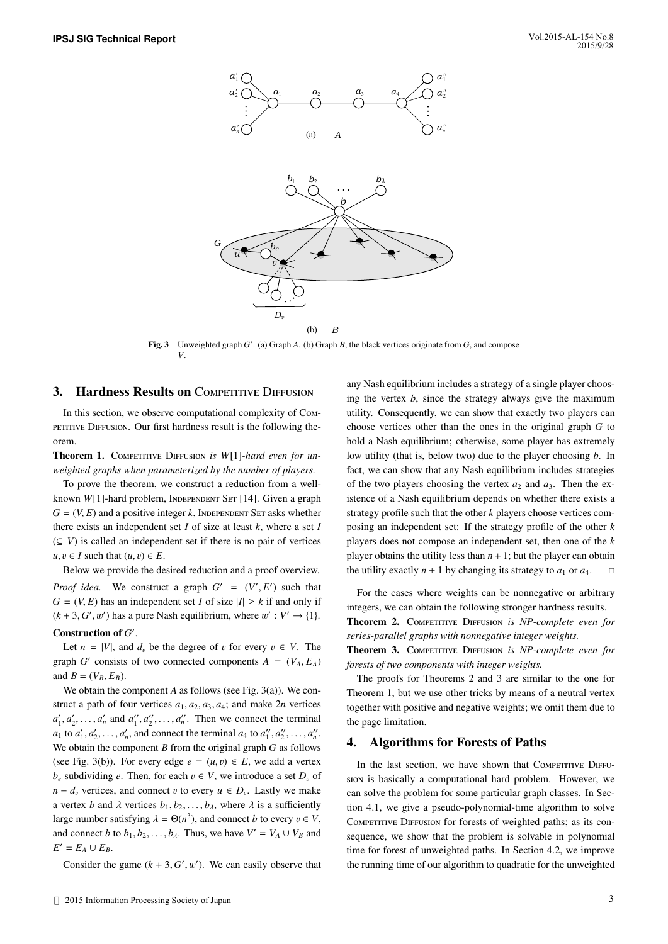

Fig. 3 Unweighted graph *G'*. (a) Graph *A*. (b) Graph *B*; the black vertices originate from *G*, and compose *V*.

### 3. Hardness Results on COMPETITIVE DIFFUSION

In this section, we observe computational complexity of Competitive Diffusion. Our first hardness result is the following theorem.

Theorem 1. COMPETITIVE DIFFUSION *is W*[1]-hard even for un*weighted graphs when parameterized by the number of players.*

To prove the theorem, we construct a reduction from a wellknown *W*[1]-hard problem, INDEPENDENT SET [14]. Given a graph  $G = (V, E)$  and a positive integer k, INDEPENDENT SET asks whether there exists an independent set *I* of size at least *k*, where a set *I*  $(\subseteq V)$  is called an independent set if there is no pair of vertices  $u, v \in I$  such that  $(u, v) \in E$ .

Below we provide the desired reduction and a proof overview. *Proof idea*. We construct a graph  $G' = (V', E')$  such that  $G = (V, E)$  has an independent set Lef size  $|I| > k$  if and only if  $G = (V, E)$  has an independent set *I* of size  $|I| \geq k$  if and only if  $(k + 3, G', w')$  has a pure Nash equilibrium, where  $w' : V' \rightarrow \{1\}$ . Construction of  $G'$ .

Let  $n = |V|$ , and  $d_v$  be the degree of v for every  $v \in V$ . The graph *G*<sup></sup> consists of two connected components  $A = (V_A, E_A)$ and  $B = (V_B, E_B)$ .

We obtain the component *A* as follows (see Fig. 3(a)). We construct a path of four vertices  $a_1, a_2, a_3, a_4$ ; and make 2*n* vertices  $a'_1, a'_2, \ldots, a'_n$  and  $a''_1, a''_2, \ldots, a''_n$ . Then we connect the terminal<br> $a'_1, a'_2, a'_3, a'_1, a''_2, a''_3$  and seppect the terminal  $a'_1, a''_2, a''_3, a''_1, a''_2, a''_3$  $a_1$  to  $a'_1, a'_2, \ldots, a'_n$ , and connect the terminal  $a_4$  to  $a''_1, a''_2, \ldots, a''_n$ .<br>We obtain the companent *B* from the original graph *C* or follows We obtain the component *B* from the original graph *G* as follows (see Fig. 3(b)). For every edge  $e = (u, v) \in E$ , we add a vertex *b*<sub>e</sub> subdividing *e*. Then, for each  $v \in V$ , we introduce a set  $D_v$  of *n* − *d<sub>v</sub>* vertices, and connect *v* to every  $u \in D_v$ . Lastly we make a vertex *b* and  $\lambda$  vertices  $b_1, b_2, \ldots, b_\lambda$ , where  $\lambda$  is a sufficiently large number satisfying  $\lambda = \Theta(n^3)$ , and connect *b* to every  $v \in V$ , and connect *b* to  $b_1, b_2, \ldots, b_\lambda$ . Thus, we have  $V' = V_A \cup V_B$  and  $E' = E_A \cup E_B$ .

Consider the game  $(k + 3, G', w')$ . We can easily observe that

any Nash equilibrium includes a strategy of a single player choosing the vertex *b*, since the strategy always give the maximum utility. Consequently, we can show that exactly two players can choose vertices other than the ones in the original graph *G* to hold a Nash equilibrium; otherwise, some player has extremely low utility (that is, below two) due to the player choosing *b*. In fact, we can show that any Nash equilibrium includes strategies of the two players choosing the vertex  $a_2$  and  $a_3$ . Then the existence of a Nash equilibrium depends on whether there exists a strategy profile such that the other *k* players choose vertices composing an independent set: If the strategy profile of the other *k* players does not compose an independent set, then one of the *k* player obtains the utility less than  $n + 1$ ; but the player can obtain the utility exactly  $n + 1$  by changing its strategy to  $a_1$  or  $a_4$ .  $\Box$ 

For the cases where weights can be nonnegative or arbitrary integers, we can obtain the following stronger hardness results. Theorem 2. Competitive Diffusion *is NP-complete even for*

*series-parallel graphs with nonnegative integer weights.* Theorem 3. COMPETITIVE DIFFUSION *is NP-complete even for forests of two components with integer weights.*

The proofs for Theorems 2 and 3 are similar to the one for Theorem 1, but we use other tricks by means of a neutral vertex together with positive and negative weights; we omit them due to the page limitation.

#### 4. Algorithms for Forests of Paths

In the last section, we have shown that Competitive Diffusion is basically a computational hard problem. However, we can solve the problem for some particular graph classes. In Section 4.1, we give a pseudo-polynomial-time algorithm to solve COMPETITIVE DIFFUSION for forests of weighted paths; as its consequence, we show that the problem is solvable in polynomial time for forest of unweighted paths. In Section 4.2, we improve the running time of our algorithm to quadratic for the unweighted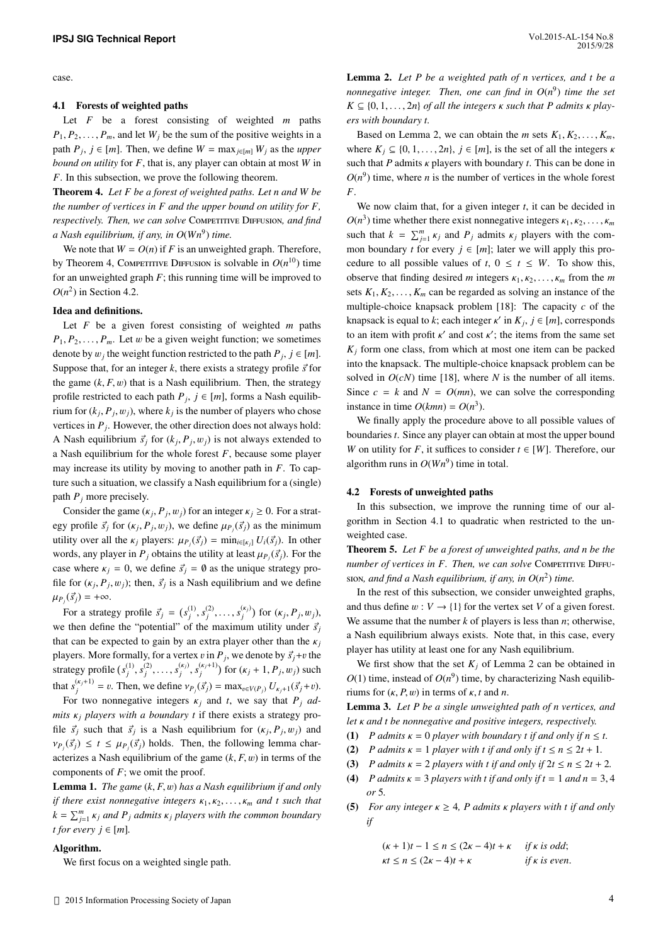case.

#### 4.1 Forests of weighted paths

Let *F* be a forest consisting of weighted *m* paths  $P_1, P_2, \ldots, P_m$ , and let  $W_i$  be the sum of the positive weights in a path  $P_j$ ,  $j \in [m]$ . Then, we define  $W = \max_{j \in [m]} W_j$  as the *upper bound on utility* for *F*, that is, any player can obtain at most *W* in *F*. In this subsection, we prove the following theorem.

Theorem 4. *Let F be a forest of weighted paths. Let n and W be the number of vertices in F and the upper bound on utility for F, respectively. Then, we can solve* Competitive Diffusion, and find *a Nash equilibrium, if any, in O*(*Wn*<sup>9</sup> ) *time.*

We note that  $W = O(n)$  if *F* is an unweighted graph. Therefore, by Theorem 4, Competitive Diffusion is solvable in  $O(n^{10})$  time for an unweighted graph  $F$ ; this running time will be improved to  $O(n^2)$  in Section 4.2.

#### Idea and definitions.

Let *F* be a given forest consisting of weighted *m* paths  $P_1, P_2, \ldots, P_m$ . Let w be a given weight function; we sometimes denote by  $w_j$  the weight function restricted to the path  $P_j$ ,  $j \in [m]$ .<br>Suppose that for an integer *b* there exists a strategy angle  $\vec{z}$  for Suppose that, for an integer  $k$ , there exists a strategy profile  $\vec{s}$  for the game  $(k, F, w)$  that is a Nash equilibrium. Then, the strategy profile restricted to each path  $P_j$ ,  $j \in [m]$ , forms a Nash equilibrium for  $(k_j, P_j, w_j)$ , where  $k_j$  is the number of players who chose vertices in  $P_j$ . However, the other direction does not always hold: A Nash equilibrium  $\vec{s}_j$  for  $(k_j, P_j, w_j)$  is not always extended to a Nash equilibrium for the whole forest *F*, because some player may increase its utility by moving to another path in *F*. To capture such a situation, we classify a Nash equilibrium for a (single) path *P<sup>j</sup>* more precisely.

Consider the game  $(\kappa_j, P_j, w_j)$  for an integer  $\kappa_j \ge 0$ . For a strat-<br>consider  $\vec{z}$ , for  $(\kappa, P_j, w_j)$  are define  $w_j(\vec{z})$  as the minimum egy profile  $\vec{s}_j$  for  $(\kappa_j, P_j, w_j)$ , we define  $\mu_{P_j}(\vec{s}_j)$  as the minimum<br>utility successible weaknow  $(\vec{s})$  and  $U(\vec{s})$ . In other utility over all the  $\kappa_j$  players:  $\mu_{P_j}(\vec{s}_j) = \min_{i \in [\kappa_j]} U_i(\vec{s}_j)$ . In other words only player in *P*<sub>*i*</sub> obtains the utility of least  $\mu_j(\vec{s})$ . For the words, any player in  $P_j$  obtains the utility at least  $\mu_{P_j}(\vec{s}_j)$ . For the case where  $\kappa_j = 0$ , we define  $\vec{s}_j = \emptyset$  as the unique strategy profile for  $(\kappa_j, P_j, w_j)$ ; then,  $\vec{s}_j$  is a Nash equilibrium and we define  $\mu_{P_j}(\vec{s}_j) = +\infty.$ 

For a strategy profile  $\vec{s}_j = (s_j^{(1)}, s_j^{(2)}, \ldots, s_j^{(k_j)})$  for  $(\kappa_j, P_j, w_j)$ , then define the "insterntial" of the maximum utility under  $\vec{z}$ we then define the "potential" of the maximum utility under  $\vec{s}_i$ that can be expected to gain by an extra player other than the  $\kappa_j$ players. More formally, for a vertex  $v$  in  $P_j$ , we denote by  $\vec{s}_j + v$  the strategy profile  $(s_j^{(1)}, s_j^{(2)}, \ldots, s_j^{(k_j)}, s_j^{(k_j+1)})$  for  $(k_j + 1, P_j, w_j)$  such that  $s_j^{(k_j+1)} = v$ . Then, we define  $v_{P_j}(\vec{s}_j) = \max_{v \in V(P_j)} U_{k_j+1}(\vec{s}_j+v)$ .

For two nonnegative integers  $\kappa_i$  and *t*, we say that  $P_i$  *admits* <sup>κ</sup>*<sup>j</sup> players with a boundary t* if there exists a strategy profile  $\vec{s}_j$  such that  $\vec{s}_j$  is a Nash equilibrium for  $(\kappa_j, P_j, w_j)$  and  $(\vec{s}) \leq \kappa \leq w_j(\vec{s})$  halos Then the following larger about  $v_{P_j}(\vec{s}_j) \le t \le \mu_{P_j}(\vec{s}_j)$  holds. Then, the following lemma char-<br>exteriors a Neglect equilibrium of the game (*b, E* w) in terms of the acterizes a Nash equilibrium of the game  $(k, F, w)$  in terms of the components of *F*; we omit the proof.

Lemma 1. *The game* (*k*, *<sup>F</sup>*, w) *has a Nash equilibrium if and only if there exist nonnegative integers*  $\kappa_1, \kappa_2, \ldots, \kappa_m$  *and t such that*  $k = \sum_{j=1}^{m} k_j$  *and P<sub>j</sub> admits*  $k_j$  *players with the common boundary t for every*  $j \in [m]$ *.* 

#### Algorithm.

We first focus on a weighted single path.

Lemma 2. *Let P be a weighted path of n vertices, and t be a nonnegative integer. Then, one can find in O*(*n* 9 ) *time the set*  $K \subseteq \{0, 1, \ldots, 2n\}$  *of all the integers*  $\kappa$  *such that*  $P$  *admits*  $\kappa$  *players with boundary t.*

Based on Lemma 2, we can obtain the *m* sets  $K_1, K_2, \ldots, K_m$ , where  $K_j \subseteq \{0, 1, \ldots, 2n\}$ ,  $j \in [m]$ , is the set of all the integers  $\kappa$ such that  $P$  admits  $\kappa$  players with boundary  $t$ . This can be done in  $O(n^9)$  time, where *n* is the number of vertices in the whole forest *F*.

We now claim that, for a given integer *t*, it can be decided in  $O(n^3)$  time whether there exist nonnegative integers  $\kappa_1, \kappa_2, ..., \kappa_m$ <br>such that  $k = \sum_{m=1}^{m}$  is and *P* admits as always with the same such that  $k = \sum_{j=1}^{m} k_j$  and  $P_j$  admits  $k_j$  players with the com-<br>mean hourdam *f* for summer i. 6 furth later we will same this are mon boundary *t* for every  $j \in [m]$ ; later we will apply this procedure to all possible values of  $t$ ,  $0 \le t \le W$ . To show this, observe that finding desired *m* integers  $\kappa_1, \kappa_2, \ldots, \kappa_m$  from the *m* sets  $K_1, K_2, \ldots, K_m$  can be regarded as solving an instance of the multiple-choice knapsack problem [18]: The capacity *c* of the knapsack is equal to *k*; each integer  $\kappa'$  in  $K_j$ ,  $j \in [m]$ , corresponds to an item with profit  $\kappa'$  and cost  $\kappa'$ ; the items from the same set  $\kappa'$  farm are also from which at most are item as a benefited  $K_i$  form one class, from which at most one item can be packed into the knapsack. The multiple-choice knapsack problem can be solved in  $O(cN)$  time [18], where *N* is the number of all items. Since  $c = k$  and  $N = O(mn)$ , we can solve the corresponding instance in time  $O(kmn) = O(n^3)$ .

We finally apply the procedure above to all possible values of boundaries *t*. Since any player can obtain at most the upper bound *W* on utility for *F*, it suffices to consider  $t \in [W]$ . Therefore, our algorithm runs in  $O(Wn^9)$  time in total.

#### 4.2 Forests of unweighted paths

In this subsection, we improve the running time of our algorithm in Section 4.1 to quadratic when restricted to the unweighted case.

Theorem 5. *Let F be a forest of unweighted paths, and n be the number of vertices in F. Then, we can solve* COMPETITIVE DIFFUsion, and find a Nash equilibrium, if any, in  $O(n^2)$  time.

In the rest of this subsection, we consider unweighted graphs, and thus define  $w : V \to \{1\}$  for the vertex set *V* of a given forest. We assume that the number  $k$  of players is less than  $n$ ; otherwise, a Nash equilibrium always exists. Note that, in this case, every player has utility at least one for any Nash equilibrium.

We first show that the set  $K_i$  of Lemma 2 can be obtained in  $O(1)$  time, instead of  $O(n^9)$  time, by characterizing Nash equilibriums for  $(\kappa, P, w)$  in terms of  $\kappa$ , *t* and *n*.

Lemma 3. *Let P be a single unweighted path of n vertices, and let* κ *and t be nonnegative and positive integers, respectively.*

- (1) *P* admits  $\kappa = 0$  player with boundary t if and only if  $n \leq t$ .
- (2) *P* admits  $\kappa = 1$  player with t if and only if  $t \le n \le 2t + 1$ .
- (3) *P* admits  $\kappa = 2$  *players with t if and only if*  $2t \le n \le 2t + 2$ *.*
- (4) *P admits*  $\kappa = 3$  *players with t if and only if t* = 1 *and n* = 3,4 *or* 5*.*
- (5) *For any integer*  $\kappa \geq 4$ , *P admits*  $\kappa$  *players with t if and only if*

$$
(k+1)t - 1 \le n \le (2k - 4)t + \kappa \quad \text{if } k \text{ is odd};
$$
  

$$
\kappa t \le n \le (2k - 4)t + \kappa \quad \text{if } k \text{ is even}.
$$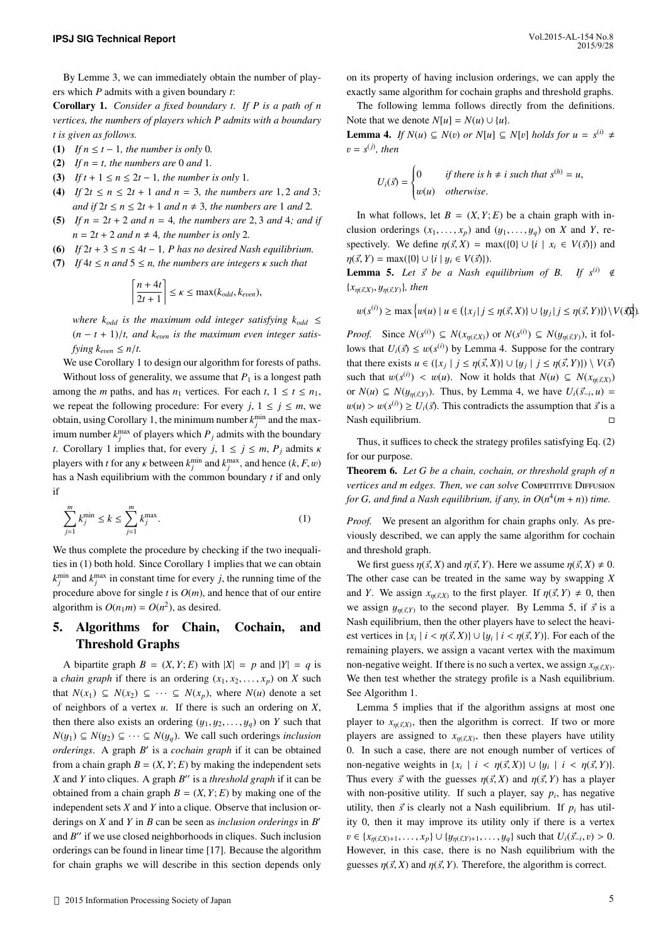By Lemme 3, we can immediately obtain the number of players which *P* admits with a given boundary *t*:

Corollary 1. *Consider a fixed boundary t. If P is a path of n vertices, the numbers of players which P admits with a boundary t is given as follows.*

- (1) *If*  $n \le t 1$ *, the number is only* 0*.*
- (2) If  $n = t$ , the numbers are 0 and 1.
- (3) *If*  $t + 1 \le n \le 2t 1$ *, the number is only* 1*.*
- (4) *If*  $2t \le n \le 2t + 1$  *and*  $n = 3$ *, the numbers are* 1, 2 *and* 3*; and if*  $2t \le n \le 2t + 1$  *and*  $n \ne 3$ *, the numbers are* 1 *and* 2*.*
- (5) *If n* <sup>=</sup> <sup>2</sup>*<sup>t</sup>* <sup>+</sup> <sup>2</sup> *and n* <sup>=</sup> <sup>4</sup>*, the numbers are* <sup>2</sup>, <sup>3</sup> *and* <sup>4</sup>*; and if*  $n = 2t + 2$  *and*  $n \neq 4$ *, the number is only* 2*.*
- (6) *If*  $2t + 3 \le n \le 4t 1$ , *P* has no desired Nash equilibrium.
- (7) *If*  $4t \le n$  *and*  $5 \le n$ *, the numbers are integers*  $\kappa$  *such that*

$$
\left\lceil \frac{n+4t}{2t+1} \right\rceil \le \kappa \le \max(k_{odd}, k_{even}),
$$

*where*  $k_{\text{odd}}$  *is the maximum odd integer satisfying*  $k_{\text{odd}} \leq$  $(n - t + 1)/t$ , and  $k_{even}$  is the maximum even integer satis*fying*  $k_{even} \leq n/t$ .

We use Corollary 1 to design our algorithm for forests of paths. Without loss of generality, we assume that  $P_1$  is a longest path among the *m* paths, and has  $n_1$  vertices. For each  $t$ ,  $1 \le t \le n_1$ , we repeat the following procedure: For every  $j, 1 \le j \le m$ , we obtain, using Corollary 1, the minimum number  $k_j^{\text{min}}$  and the maximum number  $k_j^{\text{max}}$  of players which  $P_j$  admits with the boundary *t*. Corollary 1 implies that, for every *j*,  $1 \le j \le m$ ,  $P_j$  admits  $\kappa$ players with *t* for any *k* between  $k_j^{\min}$  and  $k_j^{\max}$ , and hence  $(k, F, w)$ has a Nash equilibrium with the common boundary *t* if and only if

$$
\sum_{j=1}^{m} k_j^{\min} \le k \le \sum_{j=1}^{m} k_j^{\max}.
$$
 (1)

We thus complete the procedure by checking if the two inequalities in (1) both hold. Since Corollary 1 implies that we can obtain  $k_j^{\text{min}}$  and  $k_j^{\text{max}}$  in constant time for every *j*, the running time of the procedure above for single  $t$  is  $O(m)$ , and hence that of our entire algorithm is  $O(n_1m) = O(n^2)$ , as desired.

## 5. Algorithms for Chain, Cochain, and Threshold Graphs

A bipartite graph  $B = (X, Y; E)$  with  $|X| = p$  and  $|Y| = q$  is a *chain graph* if there is an ordering  $(x_1, x_2, \ldots, x_p)$  on *X* such that  $N(x_1)$  ⊆  $N(x_2)$  ⊆  $\cdots$  ⊆  $N(x_p)$ , where  $N(u)$  denote a set of neighbors of a vertex *u*. If there is such an ordering on *X*, then there also exists an ordering  $(y_1, y_2, \ldots, y_q)$  on *Y* such that *N*( $y_1$ ) ⊆ *N*( $y_2$ ) ⊆ · · · ⊆ *N*( $y_q$ ). We call such orderings *inclusion orderings*. A graph *B* 0 is a *cochain graph* if it can be obtained from a chain graph  $B = (X, Y; E)$  by making the independent sets *X* and *Y* into cliques. A graph *B*<sup>*''*</sup> is a *threshold graph* if it can be obtained from a chain graph  $B = (X, Y; E)$  by making one of the independent sets *X* and *Y* into a clique. Observe that inclusion orderings on *X* and *Y* in *B* can be seen as *inclusion orderings* in *B* 0 and B" if we use closed neighborhoods in cliques. Such inclusion orderings can be found in linear time [17]. Because the algorithm for chain graphs we will describe in this section depends only on its property of having inclusion orderings, we can apply the exactly same algorithm for cochain graphs and threshold graphs.

The following lemma follows directly from the definitions. Note that we denote  $N[u] = N(u) \cup \{u\}.$ 

**Lemma 4.** *If N*(*u*) ⊆ *N*(*v*) *or N*[*u*] ⊆ *N*[*v*] *holds for u* =  $s^{(i)} \neq$  $v = s^{(j)}$ , then

$$
U_i(\vec{s}) = \begin{cases} 0 & \text{if there is } h \neq i \text{ such that } s^{(h)} = u, \\ w(u) & \text{otherwise.} \end{cases}
$$

In what follows, let  $B = (X, Y; E)$  be a chain graph with inclusion orderings  $(x_1, \ldots, x_p)$  and  $(y_1, \ldots, y_q)$  on *X* and *Y*, respectively. We define  $\eta(\vec{s}, X) = \max(\{0\} \cup \{i \mid x_i \in V(\vec{s})\})$  and  $\eta(\vec{s}, Y) = \max(\{0\} \cup \{i \mid y_i \in V(\vec{s})\}).$ 

**Lemma 5.** Let  $\vec{s}$  be a Nash equilibrium of B. If  $s^{(i)} \notin \mathbb{R}$  $\{x_{\eta(\vec{s},X)}, y_{\eta(\vec{s},Y)}\}$ *, then* 

 $w(s^{(i)}) \ge \max \{w(u) \mid u \in (\{x_j \mid j \le \eta(\vec{s}, X)\} \cup \{y_j \mid j \le \eta(\vec{s}, Y)\}) \setminus V(\vec{x})\}.$ 

*Proof.* Since  $N(s^{(i)}) \subseteq N(x_{\eta(\vec{s},X)})$  or  $N(s^{(i)}) \subseteq N(y_{\eta(\vec{s},Y)})$ , it fol-<br>lows that  $U(\vec{r}) \leq \eta(\eta(\vec{s}))$  by Lamma 4. Suppose for the contrary lows that  $U_i(\vec{s}) \le w(s^{(i)})$  by Lemma 4. Suppose for the contrary that there exists  $u \in (\{x_j \mid j \le \eta(\vec{s}, X)\} \cup \{y_j \mid j \le \eta(\vec{s}, Y)\}) \setminus V(\vec{s})$ <br>such that  $w(\vec{s}) \in w(\vec{s})$ . Now it halps that  $N(\vec{s}) \subseteq N(\vec{s})$ . such that  $w(s^{(i)}) < w(u)$ . Now it holds that  $N(u) \subseteq N(x_{\eta(\vec{s},X)})$ or  $N(u) \subseteq N(y_{\eta(\vec{s},Y)})$ . Thus, by Lemma 4, we have  $U_i(\vec{s}_{-i}, u) =$ <br> $w(x) \geq w(\vec{s}_{-i}) \geq U(\vec{s})$ . This contradicts the occurrentian that  $\vec{s}_{-i}$  $w(u) > w(s^{(i)}) \ge U_i(\vec{s})$ . This contradicts the assumption that  $\vec{s}$  is a  $\Box$ Nash equilibrium.

Thus, it suffices to check the strategy profiles satisfying Eq. (2) for our purpose.

Theorem 6. *Let G be a chain, cochain, or threshold graph of n vertices and m edges. Then, we can solve* Competitive Diffusion *for G, and find a Nash equilibrium, if any, in O*(*n* 4 (*m* + *n*)) *time.*

*Proof.* We present an algorithm for chain graphs only. As previously described, we can apply the same algorithm for cochain and threshold graph.

We first guess  $\eta(\vec{s}, X)$  and  $\eta(\vec{s}, Y)$ . Here we assume  $\eta(\vec{s}, X) \neq 0$ . The other case can be treated in the same way by swapping *X* and *Y*. We assign  $x_{\eta(\vec{s},X)}$  to the first player. If  $\eta(\vec{s},Y) \neq 0$ , then we assign  $y_{\eta(\vec{s}, Y)}$  to the second player. By Lemma 5, if  $\vec{s}$  is a<br>Neglected in this case of the second player is a select the heavi-Nash equilibrium, then the other players have to select the heaviest vertices in  $\{x_i \mid i < \eta(\vec{s}, X)\} \cup \{y_i \mid i < \eta(\vec{s}, Y)\}$ . For each of the remaining players, we assign a vacant vertex with the maximum non-negative weight. If there is no such a vertex, we assign  $x_{\eta(\vec{x},X)}$ . We then test whether the strategy profile is a Nash equilibrium. See Algorithm 1.

Lemma 5 implies that if the algorithm assigns at most one player to  $x_{\eta(\vec{s},X)}$ , then the algorithm is correct. If two or more players are assigned to  $x_{\eta(\vec{s},X)}$ , then these players have utility 0. In such a case, there are not enough number of vertices of non-negative weights in  $\{x_i \mid i \lt \eta(\vec{s}, X)\} \cup \{y_i \mid i \lt \eta(\vec{s}, Y)\}$ .<br>Thus suggest  $\vec{s}$  with the suggest  $\forall (\vec{s}, Y)$  and  $\forall (\vec{s}, Y)$  has a plannel Thus every  $\vec{s}$  with the guesses  $\eta(\vec{s}, X)$  and  $\eta(\vec{s}, Y)$  has a player with non-positive utility. If such a player, say  $p_i$ , has negative utility, then  $\vec{s}$  is clearly not a Nash equilibrium. If  $p_i$  has utility 0, then it may improve its utility only if there is a vertex  $v \in \{x_{\eta(\vec{s},X)+1}, \ldots, x_p\} \cup \{y_{\eta(\vec{s},Y)+1}, \ldots, y_q\}$  such that  $U_i(\vec{s}_{-i}, v) > 0$ . However, in this case, there is no Nash equilibrium with the guesses  $\eta(\vec{s}, X)$  and  $\eta(\vec{s}, Y)$ . Therefore, the algorithm is correct.